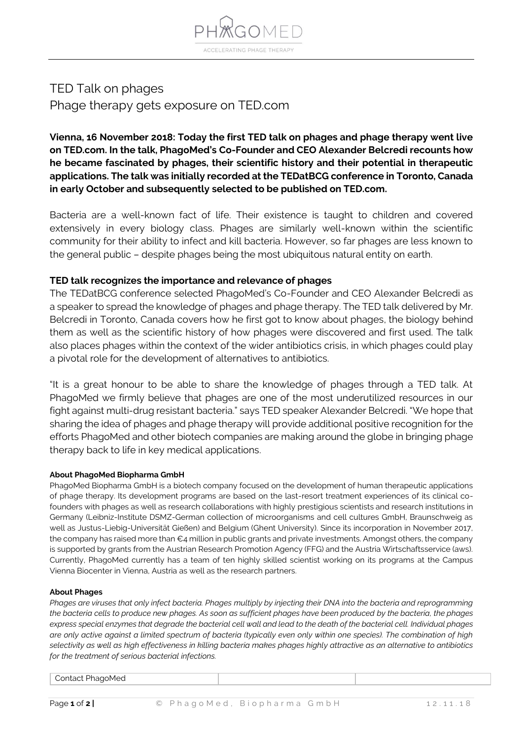

## TED Talk on phages Phage therapy gets exposure on TED.com

**Vienna, 16 November 2018: Today the first TED talk on phages and phage therapy went live on TED.com. In the talk, PhagoMed's Co-Founder and CEO Alexander Belcredi recounts how he became fascinated by phages, their scientific history and their potential in therapeutic applications. The talk was initially recorded at the TEDatBCG conference in Toronto, Canada in early October and subsequently selected to be published on TED.com.**

Bacteria are a well-known fact of life. Their existence is taught to children and covered extensively in every biology class. Phages are similarly well-known within the scientific community for their ability to infect and kill bacteria. However, so far phages are less known to the general public – despite phages being the most ubiquitous natural entity on earth.

## **TED talk recognizes the importance and relevance of phages**

The TEDatBCG conference selected PhagoMed's Co-Founder and CEO Alexander Belcredi as a speaker to spread the knowledge of phages and phage therapy. The TED talk delivered by Mr. Belcredi in Toronto, Canada covers how he first got to know about phages, the biology behind them as well as the scientific history of how phages were discovered and first used. The talk also places phages within the context of the wider antibiotics crisis, in which phages could play a pivotal role for the development of alternatives to antibiotics.

"It is a great honour to be able to share the knowledge of phages through a TED talk. At PhagoMed we firmly believe that phages are one of the most underutilized resources in our fight against multi-drug resistant bacteria." says TED speaker Alexander Belcredi. "We hope that sharing the idea of phages and phage therapy will provide additional positive recognition for the efforts PhagoMed and other biotech companies are making around the globe in bringing phage therapy back to life in key medical applications.

## **About PhagoMed Biopharma GmbH**

PhagoMed Biopharma GmbH is a biotech company focused on the development of human therapeutic applications of phage therapy. Its development programs are based on the last-resort treatment experiences of its clinical cofounders with phages as well as research collaborations with highly prestigious scientists and research institutions in Germany (Leibniz-Institute DSMZ-German collection of microorganisms and cell cultures GmbH, Braunschweig as well as Justus-Liebig-Universität Gießen) and Belgium (Ghent University). Since its incorporation in November 2017, the company has raised more than €4 million in public grants and private investments. Amongst others, the company is supported by grants from the Austrian Research Promotion Agency (FFG) and the Austria Wirtschaftsservice (aws). Currently, PhagoMed currently has a team of ten highly skilled scientist working on its programs at the Campus Vienna Biocenter in Vienna, Austria as well as the research partners.

## **About Phages**

*Phages are viruses that only infect bacteria. Phages multiply by injecting their DNA into the bacteria and reprogramming the bacteria cells to produce new phages. As soon as sufficient phages have been produced by the bacteria, the phages express special enzymes that degrade the bacterial cell wall and lead to the death of the bacterial cell. Individual phages are only active against a limited spectrum of bacteria (typically even only within one species). The combination of high selectivity as well as high effectiveness in killing bacteria makes phages highly attractive as an alternative to antibiotics for the treatment of serious bacterial infections.*

Contact PhagoMed